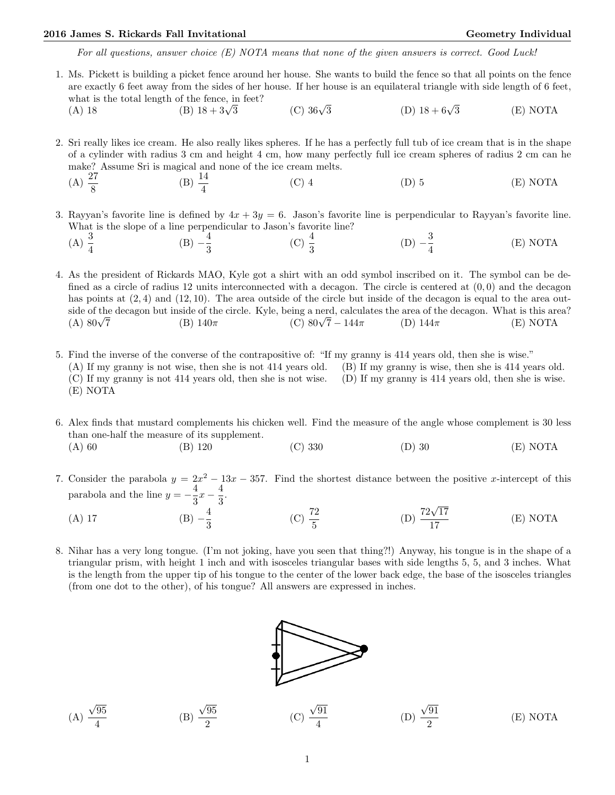## 2016 James S. Rickards Fall Invitational Christian Communication Ceometry Individual Geometry Individual

For all questions, answer choice  $(E)$  NOTA means that none of the given answers is correct. Good Luck!

1. Ms. Pickett is building a picket fence around her house. She wants to build the fence so that all points on the fence are exactly 6 feet away from the sides of her house. If her house is an equilateral triangle with side length of 6 feet, what is the total length of the fence, in feet?<br>
(A) 18 (B)  $18 + 3\sqrt{3}$ 

(B)  $18 + 3\sqrt{3}$  (C)  $36\sqrt{3}$ (D)  $18 + 6\sqrt{3}$ 3 (E) NOTA

2. Sri really likes ice cream. He also really likes spheres. If he has a perfectly full tub of ice cream that is in the shape of a cylinder with radius 3 cm and height 4 cm, how many perfectly full ice cream spheres of radius 2 cm can he make? Assume Sri is magical and none of the ice cream melts.

- (A)  $\frac{27}{8}$ (B)  $\frac{14}{4}$  $(D) 5$  (E) NOTA
- 3. Rayyan's favorite line is defined by  $4x + 3y = 6$ . Jason's favorite line is perpendicular to Rayyan's favorite line. What is the slope of a line perpendicular to Jason's favorite line?

(A) 
$$
\frac{3}{4}
$$
 \t\t (B)  $-\frac{4}{3}$  \t\t (C)  $\frac{4}{3}$  \t\t (D)  $-\frac{3}{4}$  \t\t (E) NOTA

4. As the president of Rickards MAO, Kyle got a shirt with an odd symbol inscribed on it. The symbol can be defined as a circle of radius 12 units interconnected with a decagon. The circle is centered at  $(0,0)$  and the decagon has points at  $(2, 4)$  and  $(12, 10)$ . The area outside of the circle but inside of the decagon is equal to the area outside of the decagon but inside of the circle. Kyle, being a nerd, calculates the area of the decagon. What is this area?<br>
(A)  $80\sqrt{7}$  (B)  $140\pi$  (C)  $80\sqrt{7} - 144\pi$  (D)  $144\pi$  (E) NOTA  $(A) 80\sqrt{7}$ (C)  $80\sqrt{7} - 144\pi$  (D)  $144\pi$  (E) NOTA

5. Find the inverse of the converse of the contrapositive of: "If my granny is 414 years old, then she is wise." (A) If my granny is not wise, then she is not 414 years old. (B) If my granny is wise, then she is 414 years old. (C) If my granny is not 414 years old, then she is not wise. (D) If my granny is 414 years old, then she is wise. (E) NOTA

6. Alex finds that mustard complements his chicken well. Find the measure of the angle whose complement is 30 less than one-half the measure of its supplement.

- (A) 60 (B) 120 (C) 330 (D) 30 (E) NOTA
- 7. Consider the parabola  $y = 2x^2 13x 357$ . Find the shortest distance between the positive x-intercept of this parabola and the line  $y = -\frac{4}{3}$  $\frac{4}{3}x - \frac{4}{3}$  $\frac{1}{3}$ .
	- (A) 17 (B)  $-\frac{4}{3}$ 3 (C)  $\frac{72}{5}$ (D)  $\frac{72\sqrt{17}}{15}$ 17 (E) NOTA
- 8. Nihar has a very long tongue. (I'm not joking, have you seen that thing?!) Anyway, his tongue is in the shape of a triangular prism, with height 1 inch and with isosceles triangular bases with side lengths 5, 5, and 3 inches. What is the length from the upper tip of his tongue to the center of the lower back edge, the base of the isosceles triangles (from one dot to the other), of his tongue? All answers are expressed in inches.



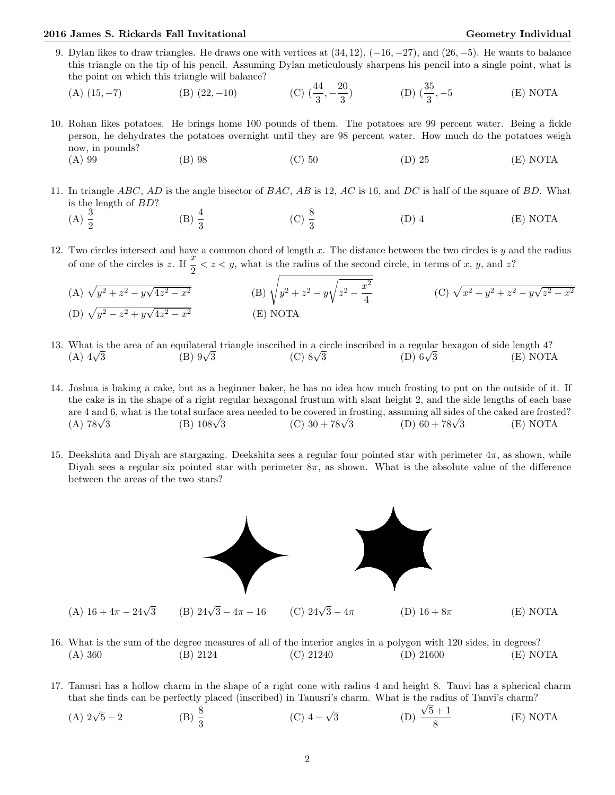## 2016 James S. Rickards Fall Invitational Christian Communication Ceometry Individual Geometry Individual

9. Dylan likes to draw triangles. He draws one with vertices at  $(34, 12)$ ,  $(-16, -27)$ , and  $(26, -5)$ . He wants to balance this triangle on the tip of his pencil. Assuming Dylan meticulously sharpens his pencil into a single point, what is the point on which this triangle will balance?  $\Omega$ 

(A) (15, -7) \t\t (B) (22, -10) \t\t (C) 
$$
\left(\frac{44}{3}, -\frac{20}{3}\right)
$$
 \t\t (D)  $\left(\frac{35}{3}, -5\right)$  \t\t (E) NOTA

- 10. Rohan likes potatoes. He brings home 100 pounds of them. The potatoes are 99 percent water. Being a fickle person, he dehydrates the potatoes overnight until they are 98 percent water. How much do the potatoes weigh now, in pounds?
	- (A) 99 (B) 98 (C) 50 (D) 25 (E) NOTA
- 11. In triangle ABC, AD is the angle bisector of BAC, AB is 12, AC is 16, and DC is half of the square of BD. What is the length of BD?
	- (A)  $\frac{3}{2}$ (B)  $\frac{4}{3}$ (C)  $\frac{8}{3}$  $(D)$  4  $(E)$  NOTA
- 12. Two circles intersect and have a common chord of length  $x$ . The distance between the two circles is  $y$  and the radius of one of the circles is z. If  $\frac{x}{2} < z < y$ , what is the radius of the second circle, in terms of x, y, and z?
	- (A)  $\sqrt{y^2 + z^2 y\sqrt{y^2}}$  $4z^2-x$  $\frac{1}{2}$  (B)  $\sqrt{y^2 + z^2 - y^2}$ <sup>1</sup>  $z^2 - \frac{x^2}{4}$  $\frac{x^2}{4}$  (C)  $\sqrt{x^2 + y^2 + z^2 - y\sqrt{x^2 + y^2 + z^2}}$  $z^2-x^2$ (D)  $\sqrt{y^2 - z^2 + y\sqrt{y^2}}$  $4z^2-x$ <sup>2</sup> (E) NOTA
- 13. What is the area of an equilateral triangle inscribed in a circle inscribed in a regular hexagon of side length 4?<br>
(A)  $4\sqrt{3}$  (B)  $9\sqrt{3}$  (C)  $8\sqrt{3}$  (D)  $6\sqrt{3}$  (E) NOT.  $(A)$  4 $\sqrt{3}$ (C)  $8\sqrt{3}$  (D)  $6\sqrt{3}$ 3 (E) NOTA
- 14. Joshua is baking a cake, but as a beginner baker, he has no idea how much frosting to put on the outside of it. If the cake is in the shape of a right regular hexagonal frustum with slant height 2, and the side lengths of each base are 4 and 6, what is the total surface area needed to be covered in frosting, assuming all sides of the caked are frosted?<br>
(A)  $78\sqrt{3}$  (B)  $108\sqrt{3}$  (C)  $30 + 78\sqrt{3}$  (D)  $60 + 78\sqrt{3}$  (E) NOTA  $(A)$  78 $\sqrt{3}$ (D)  $60 + 78\sqrt{3}$  (E) NOTA
- 15. Deekshita and Diyah are stargazing. Deekshita sees a regular four pointed star with perimeter  $4\pi$ , as shown, while Diyah sees a regular six pointed star with perimeter  $8\pi$ , as shown. What is the absolute value of the difference between the areas of the two stars?



- 16. What is the sum of the degree measures of all of the interior angles in a polygon with 120 sides, in degrees? (A) 360 (B) 2124 (C) 21240 (D) 21600 (E) NOTA
- 17. Tanusri has a hollow charm in the shape of a right cone with radius 4 and height 8. Tanvi has a spherical charm that she finds can be perfectly placed (inscribed) in Tanusri's charm. What is the radius of Tanvi's charm?
	- (A)  $2\sqrt{5}-2$  $\overline{5} - 2$  (B)  $\frac{8}{3}$  $(C)$  4 − √ 3 (D)  $5 + 1$ 8 (E) NOTA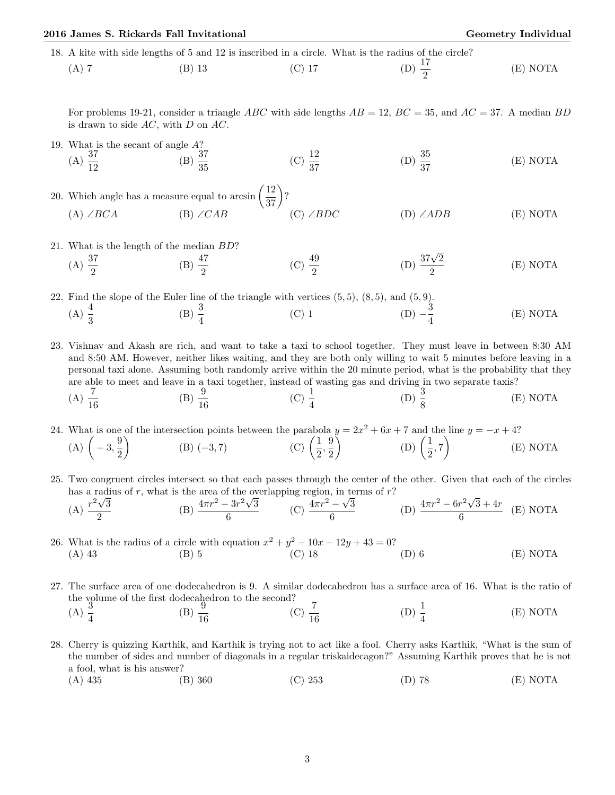## 2016 James S. Rickards Fall Invitational Christian Communication Ceometry Individual Geometry Individual

18. A kite with side lengths of 5 and 12 is inscribed in a circle. What is the radius of the circle?

(A) 7 (B) 13 (C) 17 (D) 
$$
\frac{17}{2}
$$
 (E) NOTA

For problems 19-21, consider a triangle ABC with side lengths  $AB = 12$ ,  $BC = 35$ , and  $AC = 37$ . A median BD is drawn to side  $AC$ , with  $D$  on  $AC$ .

- 19. What is the secant of angle A? (A)  $\frac{37}{12}$  (B)  $\frac{37}{35}$  $(C) \frac{12}{37}$ (D)  $\frac{35}{37}$ (E) NOTA
- 20. Which angle has a measure equal to  $arcsin\left(\frac{12}{37}\right)$ ? (A) ∠BCA (B) ∠CAB (C) ∠BDC (D) ∠ADB (E) NOTA
- 21. What is the length of the median BD?

What is the length of the median *BD*?\n(A) 
$$
\frac{37}{2}
$$
\n(B)  $\frac{47}{2}$ \n(C)  $\frac{49}{2}$ \n(D)  $\frac{37\sqrt{2}}{2}$ \n(E) NOTA

22. Find the slope of the Euler line of the triangle with vertices  $(5,5)$ ,  $(8,5)$ , and  $(5,9)$ . (A)  $\frac{4}{3}$  (B)  $\frac{3}{4}$  (C) 1 (D)  $-\frac{3}{4}$ 4 (E) NOTA

23. Vishnav and Akash are rich, and want to take a taxi to school together. They must leave in between 8:30 AM and 8:50 AM. However, neither likes waiting, and they are both only willing to wait 5 minutes before leaving in a personal taxi alone. Assuming both randomly arrive within the 20 minute period, what is the probability that they are able to meet and leave in a taxi together, instead of wasting gas and driving in two separate taxis?  $(A) \frac{7}{16}$ (B)  $\frac{9}{16}$ (C)  $\frac{1}{4}$  $(D) \frac{3}{8}$ (E) NOTA

24. What is one of the intersection points between the parabola  $y = 2x^2 + 6x + 7$  and the line  $y = -x + 4$ ?  $(A)$   $\left(-3, \frac{9}{2}\right)$ 2 (B)  $(-3, 7)$  (C)  $\left(\frac{1}{2}\right)$  $\frac{1}{2},\frac{9}{2}$ 2 (D)  $\left(\frac{1}{2}\right)$  $\left(\frac{1}{2}, 7\right)$ (E) NOTA

25. Two congruent circles intersect so that each passes through the center of the other. Given that each of the circles has a radius of r, what is the area of the overlapping region, in terms of r? √

(A) 
$$
\frac{r^2\sqrt{3}}{2}
$$
 \t(B)  $\frac{4\pi r^2 - 3r^2\sqrt{3}}{6}$  \t(C)  $\frac{4\pi r^2 - \sqrt{3}}{6}$  \t(D)  $\frac{4\pi r^2 - 6r^2\sqrt{3} + 4r}{6}$  \t(E) NOTA

26. What is the radius of a circle with equation  $x^2 + y^2 - 10x - 12y + 43 = 0$ ? (A) 43 (B) 5 (C) 18 (D) 6 (E) NOTA

27. The surface area of one dodecahedron is 9. A similar dodecahedron has a surface area of 16. What is the ratio of the volume of the first dodecahedron to the second?<br>
(A)  $\frac{3}{4}$  (B)  $\frac{9}{16}$  (C)

(A) 
$$
\frac{3}{4}
$$
 \t\t (B)  $\frac{9}{16}$  \t\t (C)  $\frac{7}{16}$  \t\t (D)  $\frac{1}{4}$  \t\t (E) NOTA

- 28. Cherry is quizzing Karthik, and Karthik is trying not to act like a fool. Cherry asks Karthik, "What is the sum of the number of sides and number of diagonals in a regular triskaidecagon?" Assuming Karthik proves that he is not a fool, what is his answer?
	- (A) 435 (B) 360 (C) 253 (D) 78 (E) NOTA